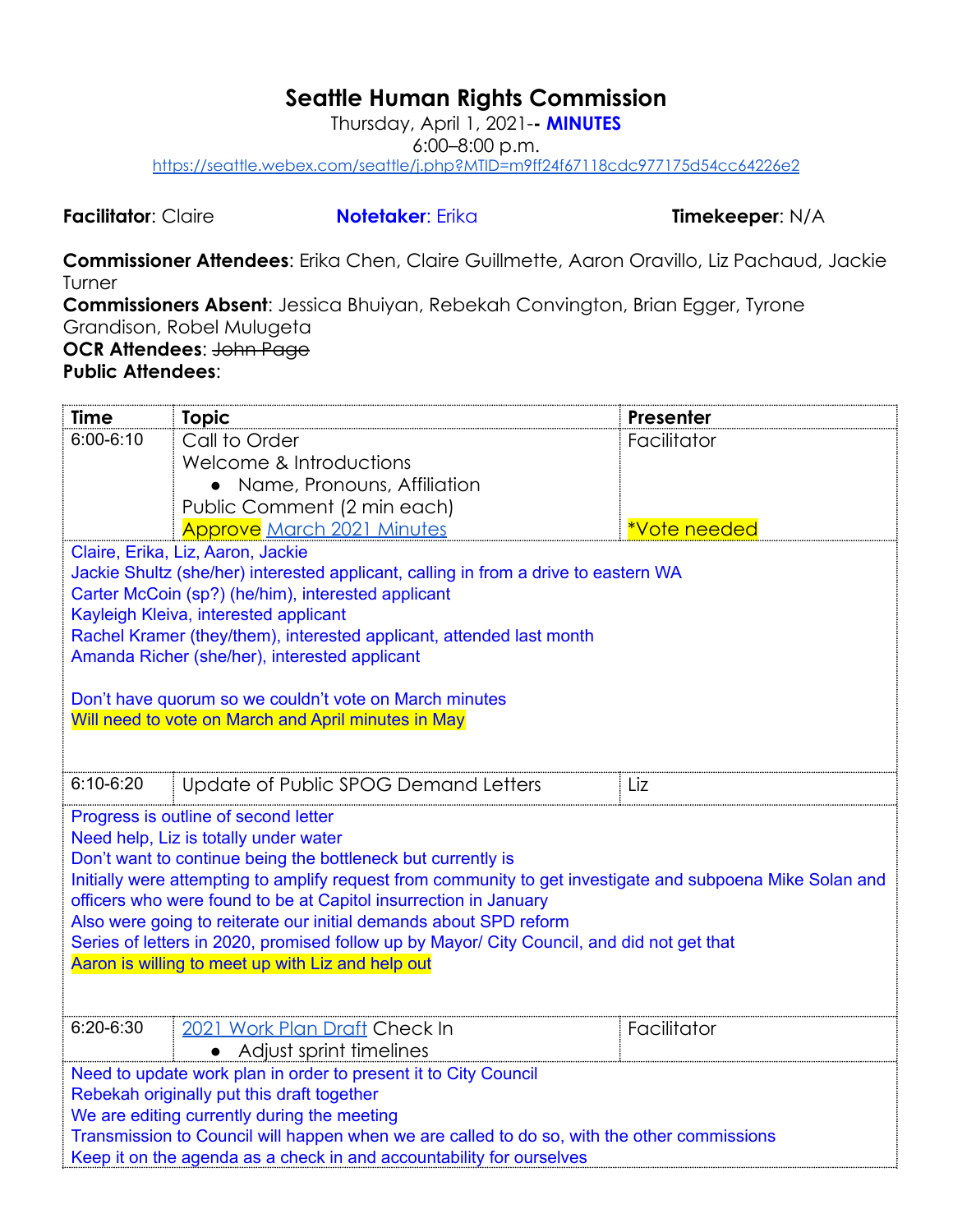## **Seattle Human Rights Commission**

Thursday, April 1, 2021-**- MINUTES**

6:00–8:00 p.m.

<https://seattle.webex.com/seattle/j.php?MTID=m9ff24f67118cdc977175d54cc64226e2>

**Facilitator**: Claire **Notetaker**: Erika **Timekeeper**: N/A

**Commissioner Attendees**: Erika Chen, Claire Guillmette, Aaron Oravillo, Liz Pachaud, Jackie Turner

**Commissioners Absent**: Jessica Bhuiyan, Rebekah Convington, Brian Egger, Tyrone Grandison, Robel Mulugeta **OCR Attendees**: John Page **Public Attendees**:

| <b>Time</b>                                                                                 | <b>Topic</b>                                                                                                                                    | Presenter    |  |  |
|---------------------------------------------------------------------------------------------|-------------------------------------------------------------------------------------------------------------------------------------------------|--------------|--|--|
| $6:00 - 6:10$                                                                               | Call to Order                                                                                                                                   | Facilitator  |  |  |
|                                                                                             | Welcome & Introductions                                                                                                                         |              |  |  |
|                                                                                             | • Name, Pronouns, Affiliation                                                                                                                   |              |  |  |
|                                                                                             | Public Comment (2 min each)                                                                                                                     |              |  |  |
|                                                                                             | <b>Approve</b> March 2021 Minutes                                                                                                               | *Vote needed |  |  |
|                                                                                             | Claire, Erika, Liz, Aaron, Jackie                                                                                                               |              |  |  |
|                                                                                             | Jackie Shultz (she/her) interested applicant, calling in from a drive to eastern WA                                                             |              |  |  |
|                                                                                             | Carter McCoin (sp?) (he/him), interested applicant                                                                                              |              |  |  |
|                                                                                             | Kayleigh Kleiva, interested applicant<br>Rachel Kramer (they/them), interested applicant, attended last month                                   |              |  |  |
|                                                                                             | Amanda Richer (she/her), interested applicant                                                                                                   |              |  |  |
|                                                                                             |                                                                                                                                                 |              |  |  |
|                                                                                             | Don't have quorum so we couldn't vote on March minutes                                                                                          |              |  |  |
|                                                                                             | Will need to vote on March and April minutes in May                                                                                             |              |  |  |
|                                                                                             |                                                                                                                                                 |              |  |  |
|                                                                                             |                                                                                                                                                 |              |  |  |
| $6:10 - 6:20$                                                                               | Update of Public SPOG Demand Letters                                                                                                            | Liz          |  |  |
|                                                                                             | Progress is outline of second letter                                                                                                            |              |  |  |
|                                                                                             | Need help, Liz is totally under water                                                                                                           |              |  |  |
|                                                                                             | Don't want to continue being the bottleneck but currently is                                                                                    |              |  |  |
|                                                                                             | Initially were attempting to amplify request from community to get investigate and subpoena Mike Solan and                                      |              |  |  |
|                                                                                             | officers who were found to be at Capitol insurrection in January                                                                                |              |  |  |
|                                                                                             | Also were going to reiterate our initial demands about SPD reform                                                                               |              |  |  |
|                                                                                             | Series of letters in 2020, promised follow up by Mayor/ City Council, and did not get that<br>Aaron is willing to meet up with Liz and help out |              |  |  |
|                                                                                             |                                                                                                                                                 |              |  |  |
|                                                                                             |                                                                                                                                                 |              |  |  |
| 6:20-6:30                                                                                   | 2021 Work Plan Draft Check In                                                                                                                   | Facilitator  |  |  |
|                                                                                             | Adjust sprint timelines                                                                                                                         |              |  |  |
| Need to update work plan in order to present it to City Council                             |                                                                                                                                                 |              |  |  |
| Rebekah originally put this draft together                                                  |                                                                                                                                                 |              |  |  |
| We are editing currently during the meeting                                                 |                                                                                                                                                 |              |  |  |
| Transmission to Council will happen when we are called to do so, with the other commissions |                                                                                                                                                 |              |  |  |
| Keep it on the agenda as a check in and accountability for ourselves                        |                                                                                                                                                 |              |  |  |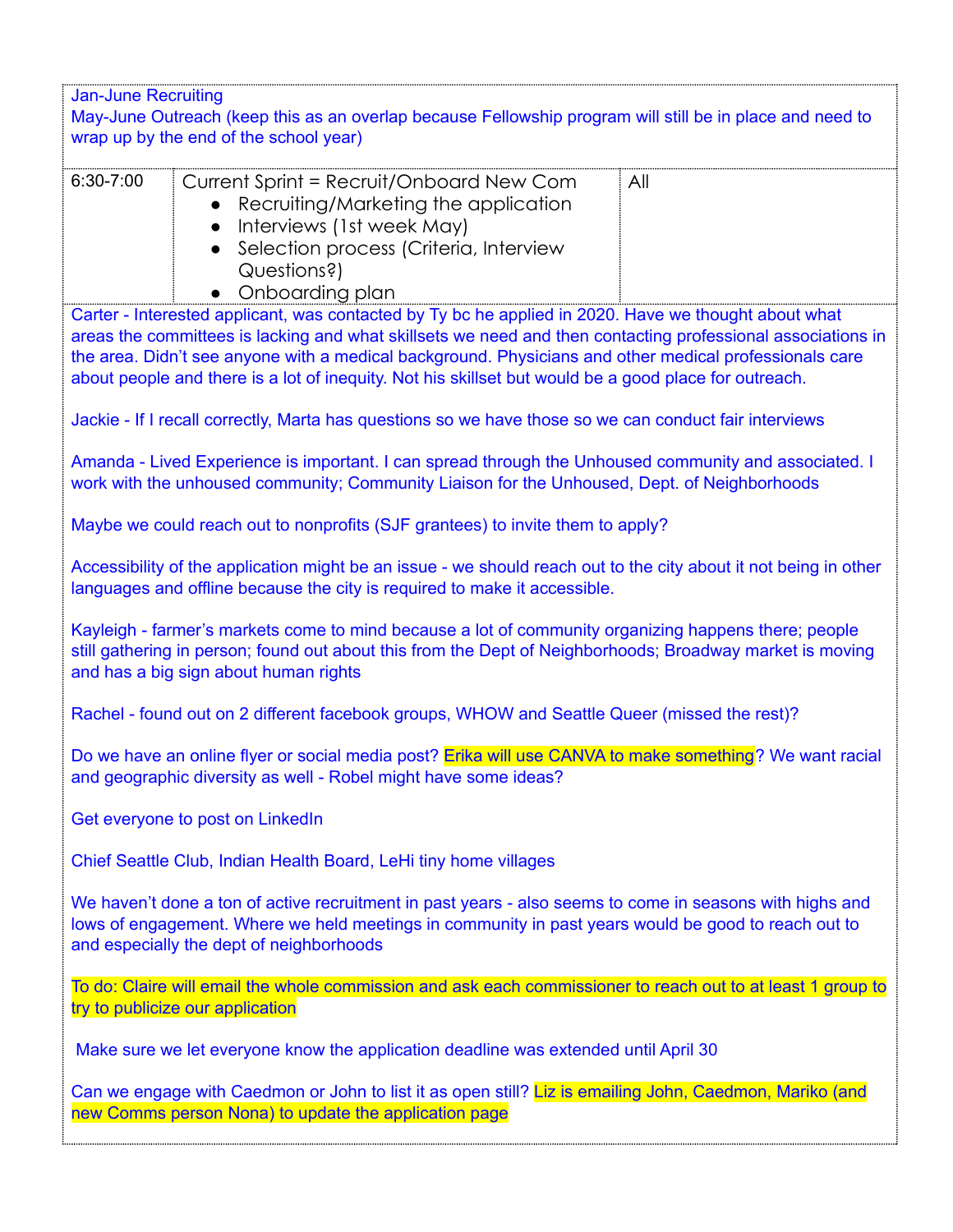| <b>Jan-June Recruiting</b>                                                                                                                                                                                                                                                                                                                                                                                                             |     |  |  |  |
|----------------------------------------------------------------------------------------------------------------------------------------------------------------------------------------------------------------------------------------------------------------------------------------------------------------------------------------------------------------------------------------------------------------------------------------|-----|--|--|--|
| May-June Outreach (keep this as an overlap because Fellowship program will still be in place and need to                                                                                                                                                                                                                                                                                                                               |     |  |  |  |
| wrap up by the end of the school year)                                                                                                                                                                                                                                                                                                                                                                                                 |     |  |  |  |
| 6:30-7:00<br>Current Sprint = Recruit/Onboard New Com<br>Recruiting/Marketing the application<br>Interviews (1st week May)<br>$\bullet$<br>Selection process (Criteria, Interview<br>Questions?)<br>Onboarding plan                                                                                                                                                                                                                    | All |  |  |  |
| Carter - Interested applicant, was contacted by Ty bc he applied in 2020. Have we thought about what<br>areas the committees is lacking and what skillsets we need and then contacting professional associations in<br>the area. Didn't see anyone with a medical background. Physicians and other medical professionals care<br>about people and there is a lot of inequity. Not his skillset but would be a good place for outreach. |     |  |  |  |
| Jackie - If I recall correctly, Marta has questions so we have those so we can conduct fair interviews                                                                                                                                                                                                                                                                                                                                 |     |  |  |  |
| Amanda - Lived Experience is important. I can spread through the Unhoused community and associated. I<br>work with the unhoused community; Community Liaison for the Unhoused, Dept. of Neighborhoods                                                                                                                                                                                                                                  |     |  |  |  |
| Maybe we could reach out to nonprofits (SJF grantees) to invite them to apply?                                                                                                                                                                                                                                                                                                                                                         |     |  |  |  |
| Accessibility of the application might be an issue - we should reach out to the city about it not being in other<br>languages and offline because the city is required to make it accessible.                                                                                                                                                                                                                                          |     |  |  |  |
| Kayleigh - farmer's markets come to mind because a lot of community organizing happens there; people<br>still gathering in person; found out about this from the Dept of Neighborhoods; Broadway market is moving<br>and has a big sign about human rights                                                                                                                                                                             |     |  |  |  |
| Rachel - found out on 2 different facebook groups, WHOW and Seattle Queer (missed the rest)?                                                                                                                                                                                                                                                                                                                                           |     |  |  |  |
| Do we have an online flyer or social media post? Erika will use CANVA to make something? We want racial<br>and geographic diversity as well - Robel might have some ideas?                                                                                                                                                                                                                                                             |     |  |  |  |
| Get everyone to post on LinkedIn                                                                                                                                                                                                                                                                                                                                                                                                       |     |  |  |  |
| Chief Seattle Club, Indian Health Board, LeHi tiny home villages                                                                                                                                                                                                                                                                                                                                                                       |     |  |  |  |
| We haven't done a ton of active recruitment in past years - also seems to come in seasons with highs and<br>lows of engagement. Where we held meetings in community in past years would be good to reach out to<br>and especially the dept of neighborhoods                                                                                                                                                                            |     |  |  |  |
| To do: Claire will email the whole commission and ask each commissioner to reach out to at least 1 group to<br>try to publicize our application                                                                                                                                                                                                                                                                                        |     |  |  |  |
| Make sure we let everyone know the application deadline was extended until April 30                                                                                                                                                                                                                                                                                                                                                    |     |  |  |  |
| Can we engage with Caedmon or John to list it as open still? Liz is emailing John, Caedmon, Mariko (and<br>new Comms person Nona) to update the application page                                                                                                                                                                                                                                                                       |     |  |  |  |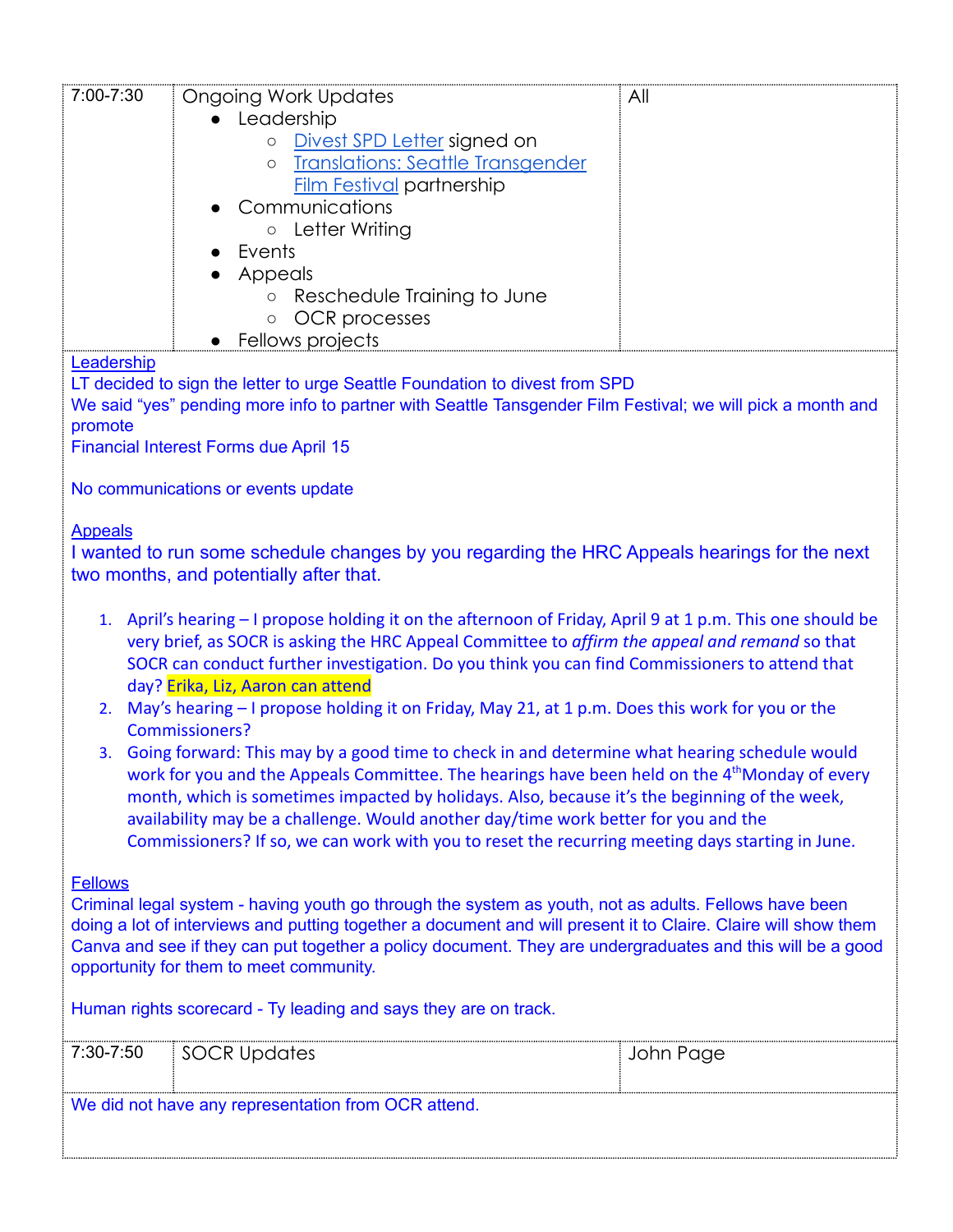| 7:00-7:30                                                                                                 | <b>Ongoing Work Updates</b>                                                                                    | All       |  |  |
|-----------------------------------------------------------------------------------------------------------|----------------------------------------------------------------------------------------------------------------|-----------|--|--|
|                                                                                                           | • Leadership                                                                                                   |           |  |  |
|                                                                                                           | Divest SPD Letter signed on<br>$\circ$                                                                         |           |  |  |
|                                                                                                           | <b>Translations: Seattle Transgender</b><br>$\circ$                                                            |           |  |  |
|                                                                                                           | <b>Film Festival partnership</b>                                                                               |           |  |  |
|                                                                                                           | Communications                                                                                                 |           |  |  |
|                                                                                                           | o Letter Writing                                                                                               |           |  |  |
|                                                                                                           | Events                                                                                                         |           |  |  |
|                                                                                                           | Appeals                                                                                                        |           |  |  |
|                                                                                                           | Reschedule Training to June<br>$\circ$                                                                         |           |  |  |
|                                                                                                           | OCR processes<br>$\bigcirc$                                                                                    |           |  |  |
|                                                                                                           | Fellows projects                                                                                               |           |  |  |
| Leadership                                                                                                |                                                                                                                |           |  |  |
|                                                                                                           | LT decided to sign the letter to urge Seattle Foundation to divest from SPD                                    |           |  |  |
|                                                                                                           | We said "yes" pending more info to partner with Seattle Tansgender Film Festival; we will pick a month and     |           |  |  |
| promote                                                                                                   |                                                                                                                |           |  |  |
|                                                                                                           | <b>Financial Interest Forms due April 15</b>                                                                   |           |  |  |
|                                                                                                           |                                                                                                                |           |  |  |
|                                                                                                           | No communications or events update                                                                             |           |  |  |
|                                                                                                           |                                                                                                                |           |  |  |
| <b>Appeals</b>                                                                                            |                                                                                                                |           |  |  |
|                                                                                                           | I wanted to run some schedule changes by you regarding the HRC Appeals hearings for the next                   |           |  |  |
|                                                                                                           | two months, and potentially after that.                                                                        |           |  |  |
|                                                                                                           |                                                                                                                |           |  |  |
| 1 <sup>1</sup>                                                                                            | April's hearing - I propose holding it on the afternoon of Friday, April 9 at 1 p.m. This one should be        |           |  |  |
|                                                                                                           | very brief, as SOCR is asking the HRC Appeal Committee to affirm the appeal and remand so that                 |           |  |  |
|                                                                                                           | SOCR can conduct further investigation. Do you think you can find Commissioners to attend that                 |           |  |  |
|                                                                                                           | day? Erika, Liz, Aaron can attend                                                                              |           |  |  |
| 2.                                                                                                        | May's hearing - I propose holding it on Friday, May 21, at 1 p.m. Does this work for you or the                |           |  |  |
|                                                                                                           | <b>Commissioners?</b>                                                                                          |           |  |  |
|                                                                                                           | 3. Going forward: This may by a good time to check in and determine what hearing schedule would                |           |  |  |
|                                                                                                           | work for you and the Appeals Committee. The hearings have been held on the 4 <sup>th</sup> Monday of every     |           |  |  |
|                                                                                                           | month, which is sometimes impacted by holidays. Also, because it's the beginning of the week,                  |           |  |  |
|                                                                                                           | availability may be a challenge. Would another day/time work better for you and the                            |           |  |  |
|                                                                                                           | Commissioners? If so, we can work with you to reset the recurring meeting days starting in June.               |           |  |  |
|                                                                                                           |                                                                                                                |           |  |  |
| <b>Fellows</b>                                                                                            |                                                                                                                |           |  |  |
|                                                                                                           | Criminal legal system - having youth go through the system as youth, not as adults. Fellows have been          |           |  |  |
|                                                                                                           | doing a lot of interviews and putting together a document and will present it to Claire. Claire will show them |           |  |  |
| Canva and see if they can put together a policy document. They are undergraduates and this will be a good |                                                                                                                |           |  |  |
| opportunity for them to meet community.                                                                   |                                                                                                                |           |  |  |
|                                                                                                           |                                                                                                                |           |  |  |
| Human rights scorecard - Ty leading and says they are on track.                                           |                                                                                                                |           |  |  |
| 7:30-7:50                                                                                                 | <b>SOCR Updates</b>                                                                                            | John Page |  |  |
|                                                                                                           |                                                                                                                |           |  |  |
|                                                                                                           |                                                                                                                |           |  |  |

We did not have any representation from OCR attend.